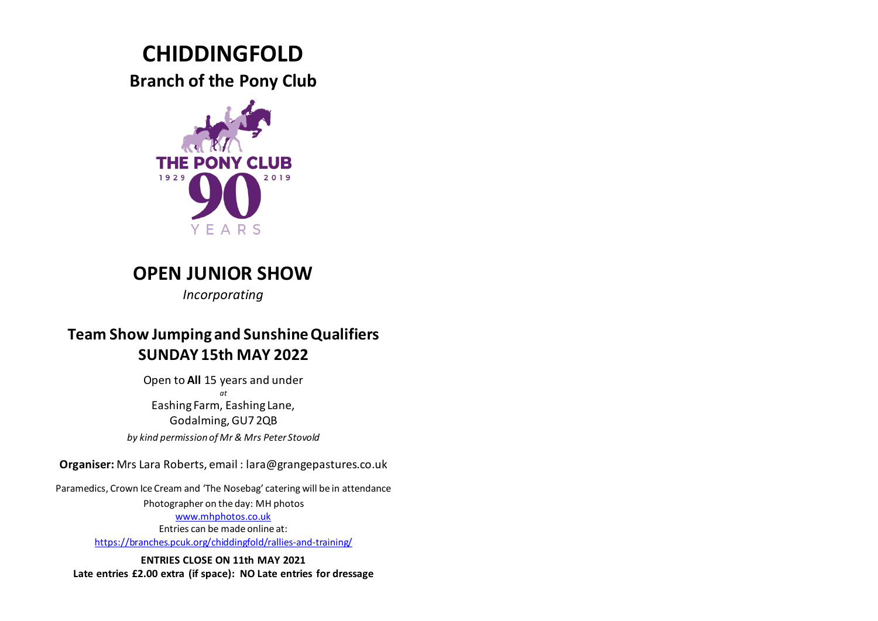# **CHIDDINGFOLD**

**Branch of the Pony Club**



## **OPEN JUNIOR SHOW**

*Incorporating*

## **Team Show Jumping and Sunshine Qualifiers SUNDAY 15th MAY 2022**

Open to **All** 15 years and under *at* Eashing Farm, Eashing Lane, Godalming, GU7 2QB *by kind permission of Mr & Mrs Peter Stovold*

**Organiser:** Mrs Lara Roberts, email : lara@grangepastures.co.uk

Paramedics, Crown Ice Cream and 'The Nosebag' catering will be in attendance

Photographer on the day: MH photos [www.mhphotos.co.uk](http://www.mhphotos.co.uk/) Entries can be made online at:

<https://branches.pcuk.org/chiddingfold/rallies-and-training/>

**ENTRIES CLOSE ON 11th MAY 2021 Late entries £2.00 extra (if space): NO Late entries for dressage**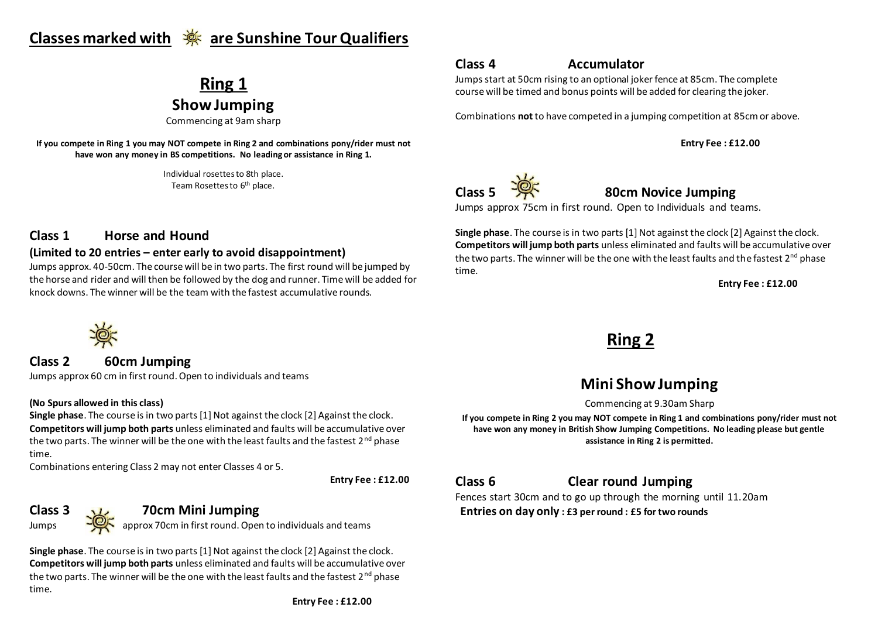## **Classes marked with are Sunshine Tour Qualifiers**

# **Ring 1**

**Show Jumping**

Commencing at 9am sharp

**If you compete in Ring 1 you may NOT compete in Ring 2 and combinations pony/rider must not have won any money in BS competitions. No leading or assistance in Ring 1.**

> Individual rosettes to 8th place. Team Rosettes to 6<sup>th</sup> place.

### **Class 4 Accumulator**

Jumps start at 50cm rising to an optional joker fence at 85cm. The complete course will be timed and bonus points will be added for clearing the joker.

Combinations **not** to have competed in a jumping competition at 85cmor above.

**Entry Fee : £12.00** 



**Class 5 80cm Novice Jumping**

Jumps approx 75cm in first round. Open to Individuals and teams.

**Single phase**. The course is in two parts [1] Not against the clock [2] Against the clock. **Competitors will jump both parts** unless eliminated and faults will be accumulative over the two parts. The winner will be the one with the least faults and the fastest  $2^{nd}$  phase time.

**Entry Fee : £12.00** 

## **Ring 2**

## **Mini Show Jumping**

Commencing at 9.30am Sharp

**If you compete in Ring 2 you may NOT compete in Ring 1 and combinations pony/rider must not have won any money in British Show Jumping Competitions. No leading please but gentle assistance in Ring 2 is permitted.**

### **Class 6 Clear round Jumping**

Fences start 30cm and to go up through the morning until 11.20am  **Entries on day only : £3 per round : £5 for two rounds**

### **Class 1 Horse and Hound**

#### **(Limited to 20 entries – enter early to avoid disappointment)**

Jumps approx. 40-50cm. The course will be in two parts. The first round will be jumped by the horse and rider and will then be followed by the dog and runner. Time will be added for knock downs. The winner will be the team with the fastest accumulative rounds.



**Class 2 60cm Jumping**

Jumps approx 60 cm in first round. Open to individuals and teams

#### **(No Spurs allowed in this class)**

**Single phase**. The course is in two parts [1] Not against the clock [2] Against the clock. **Competitors will jump both parts** unless eliminated and faults will be accumulative over the two parts. The winner will be the one with the least faults and the fastest  $2<sup>nd</sup>$  phase time.

Combinations entering Class 2 may not enter Classes 4 or 5.

**Entry Fee : £12.00**

### **Class 3 70cm Mini Jumping**

Jumps  $\frac{100}{2}$  approx 70cm in first round. Open to individuals and teams

**Single phase**. The course is in two parts [1] Not against the clock [2] Against the clock. **Competitors will jump both parts** unless eliminated and faults will be accumulative over the two parts. The winner will be the one with the least faults and the fastest  $2^{nd}$  phase time.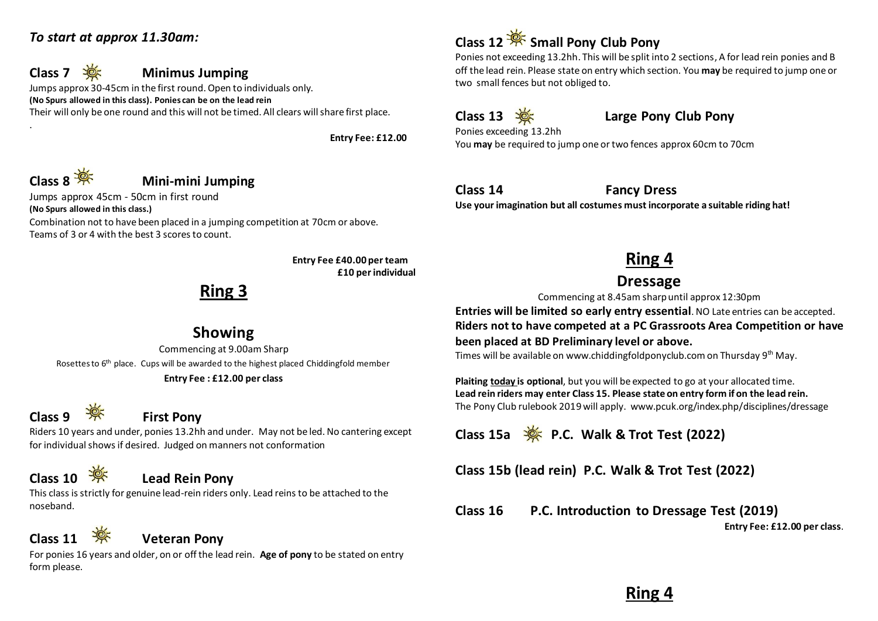### *To start at approx 11.30am:*



### **Class 7 Minimus Jumping**

Jumps approx 30-45cm in the first round. Open to individuals only. **(No Spurs allowed in this class). Ponies can be on the lead rein** Their will only be one round and this will not be timed. All clears will share first place.

**Entry Fee: £12.00**



.

### **Class 8 Mini-mini Jumping**

Jumps approx 45cm - 50cm in first round **(No Spurs allowed in this class.)** Combination not to have been placed in a jumping competition at 70cm or above. Teams of 3 or 4 with the best 3 scores to count.

> **Entry Fee £40.00 per team £10 per individual**

## **Ring 3**

### **Showing**

Commencing at 9.00am Sharp Rosettes to 6<sup>th</sup> place. Cups will be awarded to the highest placed Chiddingfold member

#### **Entry Fee : £12.00 per class**

# **Class 9 First Pony**

Riders 10 years and under, ponies 13.2hh and under. May not be led. No cantering except for individual shows if desired. Judged on manners not conformation

## **Class 10 Lead Rein Pony**

This class is strictly for genuine lead-rein riders only. Lead reins to be attached to the noseband.

## **Class 11 Weteran Pony**

For ponies 16 years and older, on or off the lead rein. **Age of pony** to be stated on entry form please.

## **Class 12 Small Pony Club Pony**

Ponies not exceeding 13.2hh. This will be split into 2 sections, A for lead rein ponies and B off the lead rein. Please state on entry which section. You **may** be required to jump one or two small fences but not obliged to.

### **Class 13 Large Pony Club Pony**

Ponies exceeding 13.2hh You **may** be required to jump one or two fences approx 60cm to 70cm

**Class 14 Fancy Dress**

**Use your imagination but all costumes must incorporate a suitable riding hat!**

## **Ring 4**

### **Dressage**

Commencing at 8.45am sharp until approx 12:30pm

**Entries will be limited so early entry essential**. NO Late entries can be accepted. **Riders not to have competed at a PC Grassroots Area Competition or have been placed at BD Preliminary level or above.**

Times will be available on www.chiddingfoldponyclub.com on Thursday 9<sup>th</sup> May.

**Plaiting today is optional**, but you will be expected to go at your allocated time. **Lead rein riders may enter Class 15. Please state on entry form if on the lead rein.**  The Pony Club rulebook 2019will apply. www.pcuk.org/index.php/disciplines/dressage

**Class 15a P.C. Walk & Trot Test (2022)**

**Class 15b (lead rein) P.C. Walk & Trot Test (2022)** 

**Class 16 P.C. Introduction to Dressage Test (2019)**

**Entry Fee: £12.00 per class**.